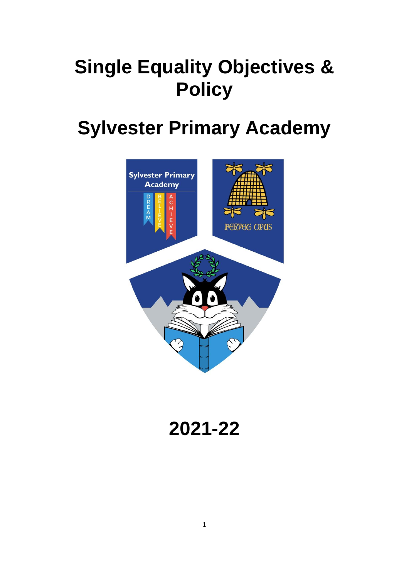# **Single Equality Objectives & Policy**

## **Sylvester Primary Academy**



**2021-22**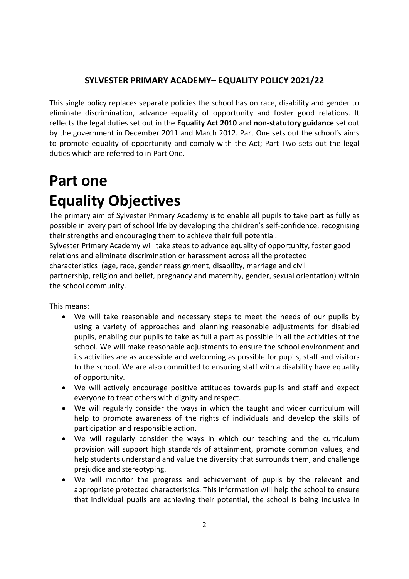### **SYLVESTER PRIMARY ACADEMY– EQUALITY POLICY 2021/22**

This single policy replaces separate policies the school has on race, disability and gender to eliminate discrimination, advance equality of opportunity and foster good relations. It reflects the legal duties set out in the **Equality Act 2010** and **non-statutory guidance** set out by the government in December 2011 and March 2012. Part One sets out the school's aims to promote equality of opportunity and comply with the Act; Part Two sets out the legal duties which are referred to in Part One.

## **Part one Equality Objectives**

The primary aim of Sylvester Primary Academy is to enable all pupils to take part as fully as possible in every part of school life by developing the children's self-confidence, recognising their strengths and encouraging them to achieve their full potential.

Sylvester Primary Academy will take steps to advance equality of opportunity, foster good relations and eliminate discrimination or harassment across all the protected characteristics (age, race, gender reassignment, disability, marriage and civil partnership, religion and belief, pregnancy and maternity, gender, sexual orientation) within the school community.

This means:

- We will take reasonable and necessary steps to meet the needs of our pupils by using a variety of approaches and planning reasonable adjustments for disabled pupils, enabling our pupils to take as full a part as possible in all the activities of the school. We will make reasonable adjustments to ensure the school environment and its activities are as accessible and welcoming as possible for pupils, staff and visitors to the school. We are also committed to ensuring staff with a disability have equality of opportunity.
- We will actively encourage positive attitudes towards pupils and staff and expect everyone to treat others with dignity and respect.
- We will regularly consider the ways in which the taught and wider curriculum will help to promote awareness of the rights of individuals and develop the skills of participation and responsible action.
- We will regularly consider the ways in which our teaching and the curriculum provision will support high standards of attainment, promote common values, and help students understand and value the diversity that surrounds them, and challenge prejudice and stereotyping.
- We will monitor the progress and achievement of pupils by the relevant and appropriate protected characteristics. This information will help the school to ensure that individual pupils are achieving their potential, the school is being inclusive in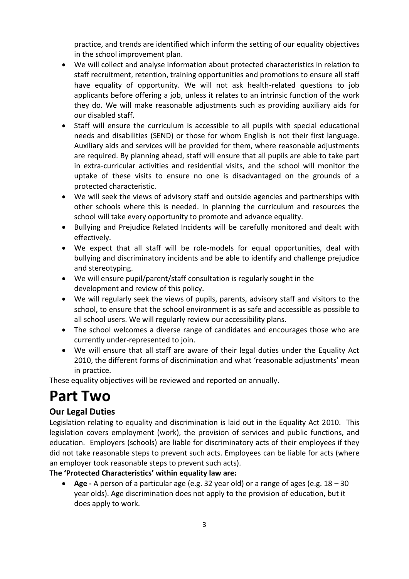practice, and trends are identified which inform the setting of our equality objectives in the school improvement plan.

- We will collect and analyse information about protected characteristics in relation to staff recruitment, retention, training opportunities and promotions to ensure all staff have equality of opportunity. We will not ask health-related questions to job applicants before offering a job, unless it relates to an intrinsic function of the work they do. We will make reasonable adjustments such as providing auxiliary aids for our disabled staff.
- Staff will ensure the curriculum is accessible to all pupils with special educational needs and disabilities (SEND) or those for whom English is not their first language. Auxiliary aids and services will be provided for them, where reasonable adjustments are required. By planning ahead, staff will ensure that all pupils are able to take part in extra-curricular activities and residential visits, and the school will monitor the uptake of these visits to ensure no one is disadvantaged on the grounds of a protected characteristic.
- We will seek the views of advisory staff and outside agencies and partnerships with other schools where this is needed. In planning the curriculum and resources the school will take every opportunity to promote and advance equality.
- Bullying and Prejudice Related Incidents will be carefully monitored and dealt with effectively.
- We expect that all staff will be role-models for equal opportunities, deal with bullying and discriminatory incidents and be able to identify and challenge prejudice and stereotyping.
- We will ensure pupil/parent/staff consultation is regularly sought in the development and review of this policy.
- We will regularly seek the views of pupils, parents, advisory staff and visitors to the school, to ensure that the school environment is as safe and accessible as possible to all school users. We will regularly review our accessibility plans.
- The school welcomes a diverse range of candidates and encourages those who are currently under-represented to join.
- We will ensure that all staff are aware of their legal duties under the Equality Act 2010, the different forms of discrimination and what 'reasonable adjustments' mean in practice.

These equality objectives will be reviewed and reported on annually.

### **Part Two**

#### **Our Legal Duties**

Legislation relating to equality and discrimination is laid out in the Equality Act 2010. This legislation covers employment (work), the provision of services and public functions, and education. Employers (schools) are liable for discriminatory acts of their employees if they did not take reasonable steps to prevent such acts. Employees can be liable for acts (where an employer took reasonable steps to prevent such acts).

**The 'Protected Characteristics' within equality law are:**

• **Age -** A person of a particular age (e.g. 32 year old) or a range of ages (e.g. 18 – 30 year olds). Age discrimination does not apply to the provision of education, but it does apply to work.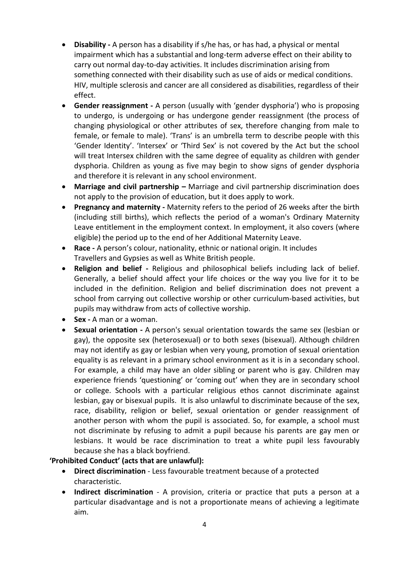- **Disability -** A person has a disability if s/he has, or has had, a physical or mental impairment which has a substantial and long-term adverse effect on their ability to carry out normal day-to-day activities. It includes discrimination arising from something connected with their disability such as use of aids or medical conditions. HIV, multiple sclerosis and cancer are all considered as disabilities, regardless of their effect.
- **Gender reassignment -** A person (usually with 'gender dysphoria') who is proposing to undergo, is undergoing or has undergone gender reassignment (the process of changing physiological or other attributes of sex, therefore changing from male to female, or female to male). 'Trans' is an umbrella term to describe people with this 'Gender Identity'. 'Intersex' or 'Third Sex' is not covered by the Act but the school will treat Intersex children with the same degree of equality as children with gender dysphoria. Children as young as five may begin to show signs of gender dysphoria and therefore it is relevant in any school environment.
- **Marriage and civil partnership –** Marriage and civil partnership discrimination does not apply to the provision of education, but it does apply to work.
- **Pregnancy and maternity -** Maternity refers to the period of 26 weeks after the birth (including still births), which reflects the period of a woman's Ordinary Maternity Leave entitlement in the employment context. In employment, it also covers (where eligible) the period up to the end of her Additional Maternity Leave.
- **Race -** A person's colour, nationality, ethnic or national origin. It includes Travellers and Gypsies as well as White British people.
- **Religion and belief -** Religious and philosophical beliefs including lack of belief. Generally, a belief should affect your life choices or the way you live for it to be included in the definition. Religion and belief discrimination does not prevent a school from carrying out collective worship or other curriculum-based activities, but pupils may withdraw from acts of collective worship.
- **Sex -** A man or a woman.
- **Sexual orientation -** A person's sexual orientation towards the same sex (lesbian or gay), the opposite sex (heterosexual) or to both sexes (bisexual). Although children may not identify as gay or lesbian when very young, promotion of sexual orientation equality is as relevant in a primary school environment as it is in a secondary school. For example, a child may have an older sibling or parent who is gay. Children may experience friends 'questioning' or 'coming out' when they are in secondary school or college. Schools with a particular religious ethos cannot discriminate against lesbian, gay or bisexual pupils. It is also unlawful to discriminate because of the sex, race, disability, religion or belief, sexual orientation or gender reassignment of another person with whom the pupil is associated. So, for example, a school must not discriminate by refusing to admit a pupil because his parents are gay men or lesbians. It would be race discrimination to treat a white pupil less favourably because she has a black boyfriend.

#### **'Prohibited Conduct' (acts that are unlawful):**

- **Direct discrimination**  Less favourable treatment because of a protected characteristic.
- **Indirect discrimination**  A provision, criteria or practice that puts a person at a particular disadvantage and is not a proportionate means of achieving a legitimate aim.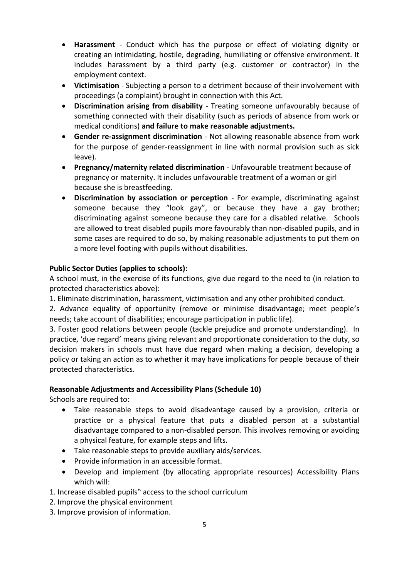- **Harassment**  Conduct which has the purpose or effect of violating dignity or creating an intimidating, hostile, degrading, humiliating or offensive environment. It includes harassment by a third party (e.g. customer or contractor) in the employment context.
- **Victimisation**  Subjecting a person to a detriment because of their involvement with proceedings (a complaint) brought in connection with this Act.
- **Discrimination arising from disability**  Treating someone unfavourably because of something connected with their disability (such as periods of absence from work or medical conditions) **and failure to make reasonable adjustments.**
- **Gender re-assignment discrimination**  Not allowing reasonable absence from work for the purpose of gender-reassignment in line with normal provision such as sick leave).
- **Pregnancy/maternity related discrimination**  Unfavourable treatment because of pregnancy or maternity. It includes unfavourable treatment of a woman or girl because she is breastfeeding.
- **Discrimination by association or perception**  For example, discriminating against someone because they "look gay", or because they have a gay brother; discriminating against someone because they care for a disabled relative. Schools are allowed to treat disabled pupils more favourably than non-disabled pupils, and in some cases are required to do so, by making reasonable adjustments to put them on a more level footing with pupils without disabilities.

#### **Public Sector Duties (applies to schools):**

A school must, in the exercise of its functions, give due regard to the need to (in relation to protected characteristics above):

1. Eliminate discrimination, harassment, victimisation and any other prohibited conduct.

2. Advance equality of opportunity (remove or minimise disadvantage; meet people's needs; take account of disabilities; encourage participation in public life).

3. Foster good relations between people (tackle prejudice and promote understanding). In practice, 'due regard' means giving relevant and proportionate consideration to the duty, so decision makers in schools must have due regard when making a decision, developing a policy or taking an action as to whether it may have implications for people because of their protected characteristics.

#### **Reasonable Adjustments and Accessibility Plans (Schedule 10)**

Schools are required to:

- Take reasonable steps to avoid disadvantage caused by a provision, criteria or practice or a physical feature that puts a disabled person at a substantial disadvantage compared to a non-disabled person. This involves removing or avoiding a physical feature, for example steps and lifts.
- Take reasonable steps to provide auxiliary aids/services.
- Provide information in an accessible format.
- Develop and implement (by allocating appropriate resources) Accessibility Plans which will:
- 1. Increase disabled pupils" access to the school curriculum
- 2. Improve the physical environment
- 3. Improve provision of information.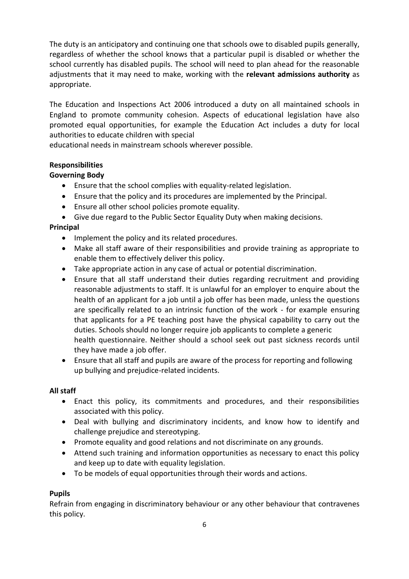The duty is an anticipatory and continuing one that schools owe to disabled pupils generally, regardless of whether the school knows that a particular pupil is disabled or whether the school currently has disabled pupils. The school will need to plan ahead for the reasonable adjustments that it may need to make, working with the **relevant admissions authority** as appropriate.

The Education and Inspections Act 2006 introduced a duty on all maintained schools in England to promote community cohesion. Aspects of educational legislation have also promoted equal opportunities, for example the Education Act includes a duty for local authorities to educate children with special

educational needs in mainstream schools wherever possible.

#### **Responsibilities**

#### **Governing Body**

- Ensure that the school complies with equality-related legislation.
- Ensure that the policy and its procedures are implemented by the Principal.
- Ensure all other school policies promote equality.
- Give due regard to the Public Sector Equality Duty when making decisions.

#### **Principal**

- Implement the policy and its related procedures.
- Make all staff aware of their responsibilities and provide training as appropriate to enable them to effectively deliver this policy.
- Take appropriate action in any case of actual or potential discrimination.
- Ensure that all staff understand their duties regarding recruitment and providing reasonable adjustments to staff. It is unlawful for an employer to enquire about the health of an applicant for a job until a job offer has been made, unless the questions are specifically related to an intrinsic function of the work - for example ensuring that applicants for a PE teaching post have the physical capability to carry out the duties. Schools should no longer require job applicants to complete a generic health questionnaire. Neither should a school seek out past sickness records until they have made a job offer.
- Ensure that all staff and pupils are aware of the process for reporting and following up bullying and prejudice-related incidents.

#### **All staff**

- Enact this policy, its commitments and procedures, and their responsibilities associated with this policy.
- Deal with bullying and discriminatory incidents, and know how to identify and challenge prejudice and stereotyping.
- Promote equality and good relations and not discriminate on any grounds.
- Attend such training and information opportunities as necessary to enact this policy and keep up to date with equality legislation.
- To be models of equal opportunities through their words and actions.

#### **Pupils**

Refrain from engaging in discriminatory behaviour or any other behaviour that contravenes this policy.